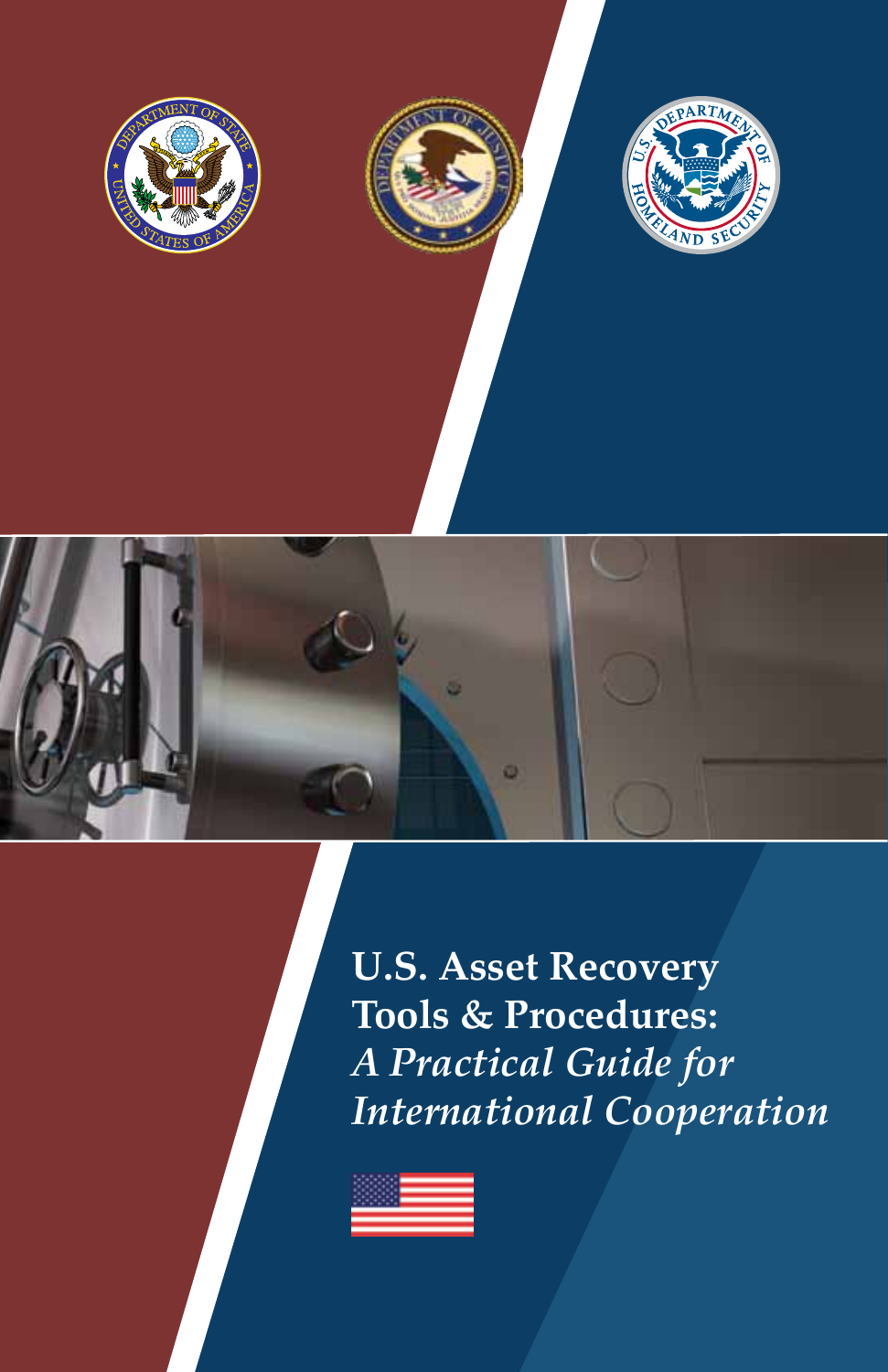







**U.S. Asset Recovery Tools & Procedures:** *A Practical Guide for International Cooperation*

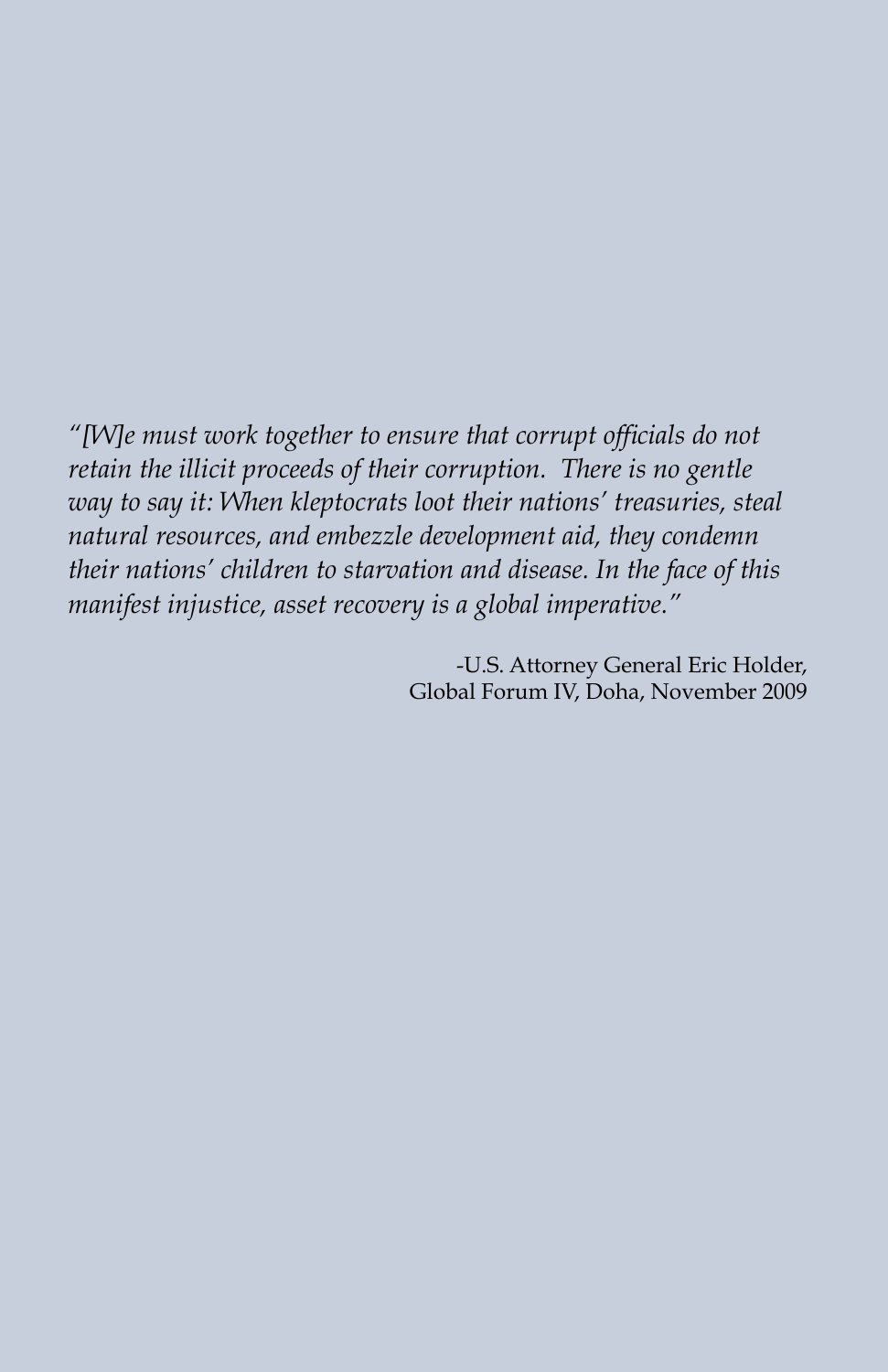*"[W]e must work together to ensure that corrupt officials do not retain the illicit proceeds of their corruption. There is no gentle way to say it: When kleptocrats loot their nations' treasuries, steal natural resources, and embezzle development aid, they condemn their nations' children to starvation and disease. In the face of this manifest injustice, asset recovery is a global imperative."*

> -U.S. Attorney General Eric Holder, Global Forum IV, Doha, November 2009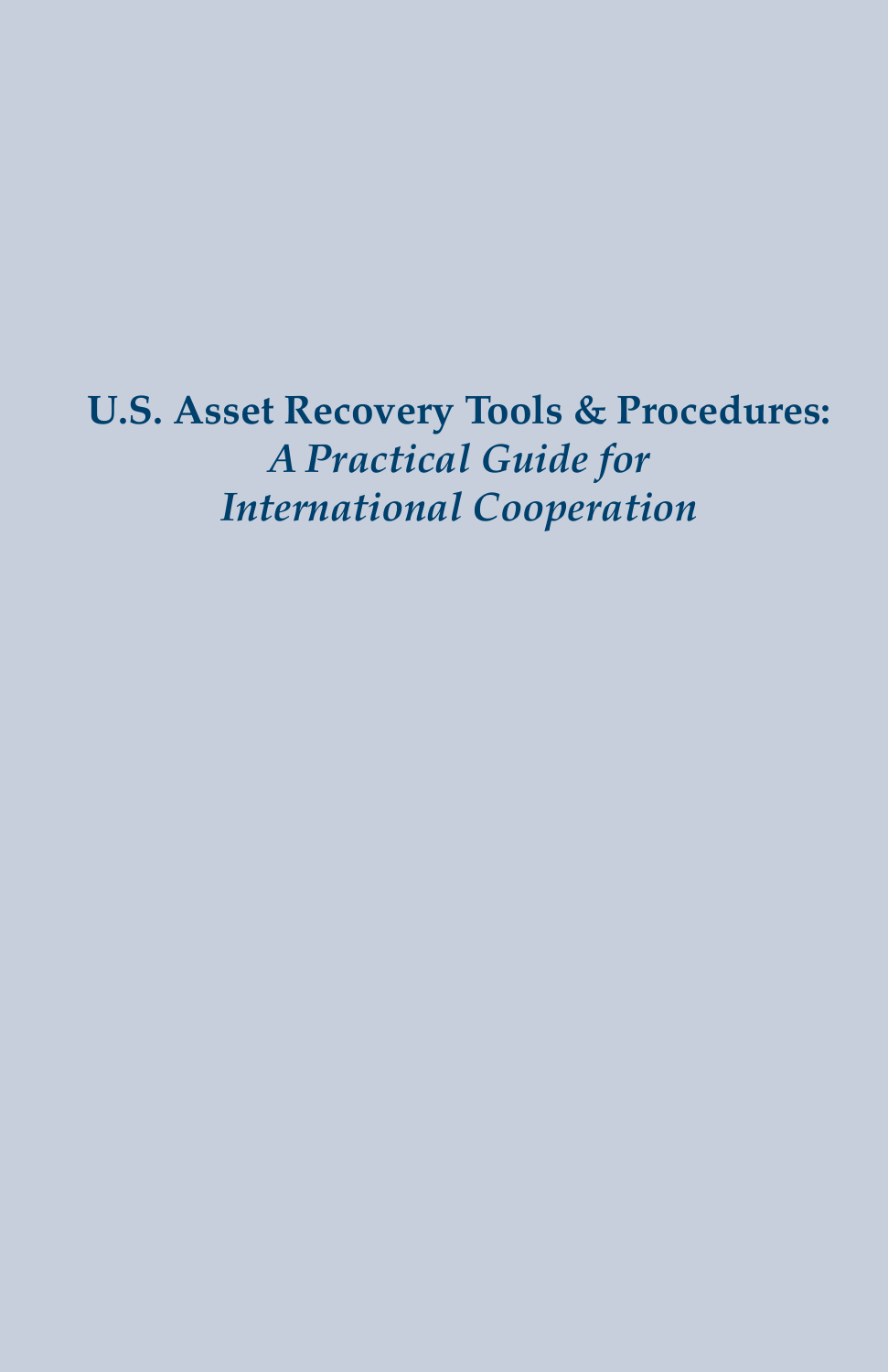**U.S. Asset Recovery Tools & Procedures:**  *A Practical Guide for International Cooperation*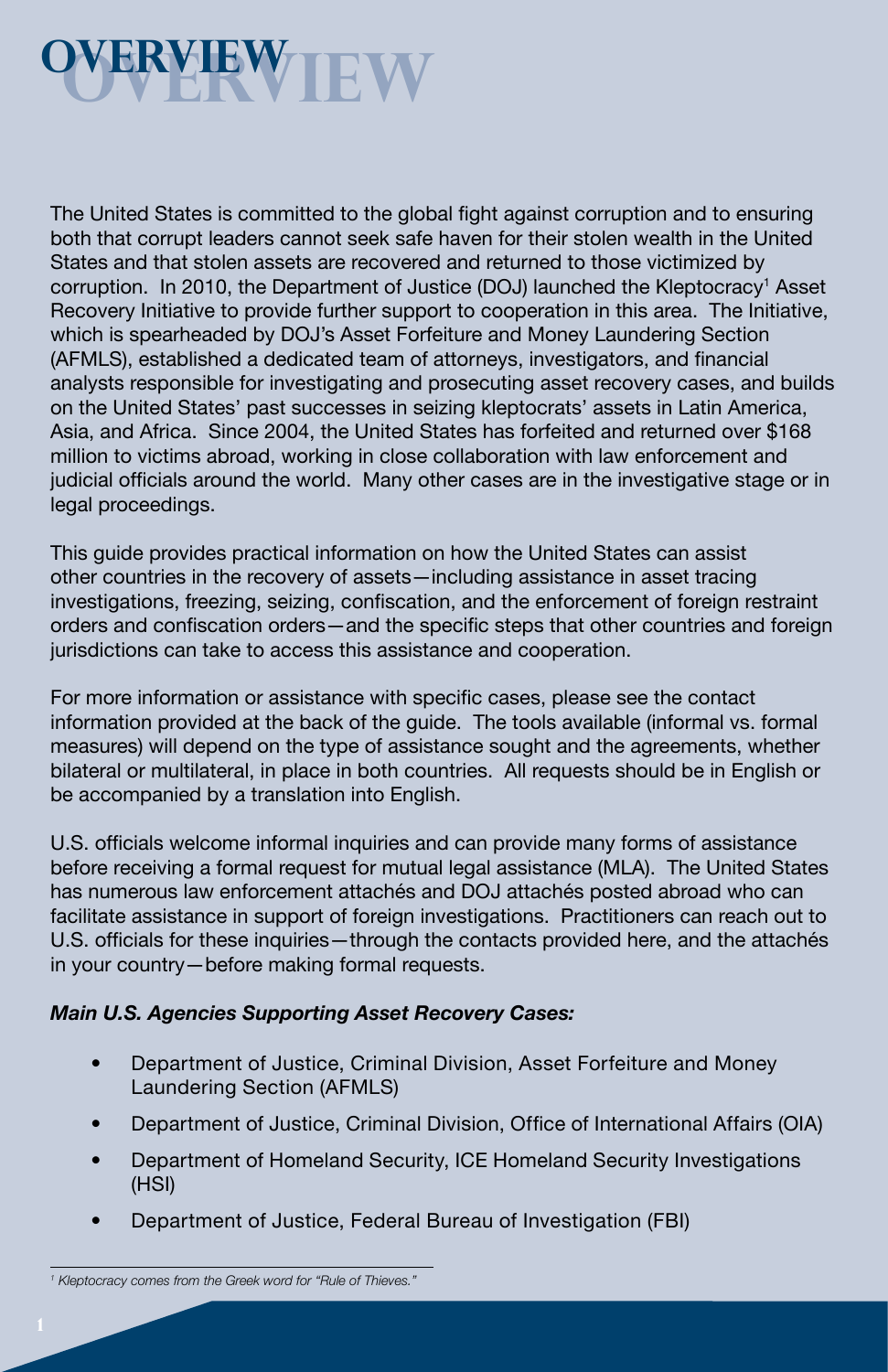

**11 <b>COVERVIEW COVERVIEW**<br>
The United States is committed to the glob<br>
both that corruption and state scare recovere intitative to provide turn<br>
force and that state and the corruption. In 2010, the Department of Just<br>
R The United States is committed to the global fight against corruption and to ensuring both that corrupt leaders cannot seek safe haven for their stolen wealth in the United States and that stolen assets are recovered and returned to those victimized by corruption. In 2010, the Department of Justice (DOJ) launched the Kleptocracy<sup>1</sup> Asset Recovery Initiative to provide further support to cooperation in this area. The Initiative, which is spearheaded by DOJ's Asset Forfeiture and Money Laundering Section (AFMLS), established a dedicated team of attorneys, investigators, and financial analysts responsible for investigating and prosecuting asset recovery cases, and builds on the United States' past successes in seizing kleptocrats' assets in Latin America, Asia, and Africa. Since 2004, the United States has forfeited and returned over \$168 million to victims abroad, working in close collaboration with law enforcement and judicial officials around the world. Many other cases are in the investigative stage or in legal proceedings.

This guide provides practical information on how the United States can assist other countries in the recovery of assets—including assistance in asset tracing investigations, freezing, seizing, confiscation, and the enforcement of foreign restraint orders and confiscation orders—and the specific steps that other countries and foreign jurisdictions can take to access this assistance and cooperation.

For more information or assistance with specific cases, please see the contact information provided at the back of the guide. The tools available (informal vs. formal measures) will depend on the type of assistance sought and the agreements, whether bilateral or multilateral, in place in both countries. All requests should be in English or be accompanied by a translation into English.

U.S. officials welcome informal inquiries and can provide many forms of assistance before receiving a formal request for mutual legal assistance (MLA). The United States has numerous law enforcement attachés and DOJ attachés posted abroad who can facilitate assistance in support of foreign investigations. Practitioners can reach out to U.S. officials for these inquiries—through the contacts provided here, and the attachés in your country—before making formal requests.

#### *Main U.S. Agencies Supporting Asset Recovery Cases:*

- Department of Justice, Criminal Division, Asset Forfeiture and Money Laundering Section (AFMLS)
- Department of Justice, Criminal Division, Office of International Affairs (OIA)
- Department of Homeland Security, ICE Homeland Security Investigations (HSI)
- Department of Justice, Federal Bureau of Investigation (FBI)

*<sup>1</sup> Kleptocracy comes from the Greek word for "Rule of Thieves."*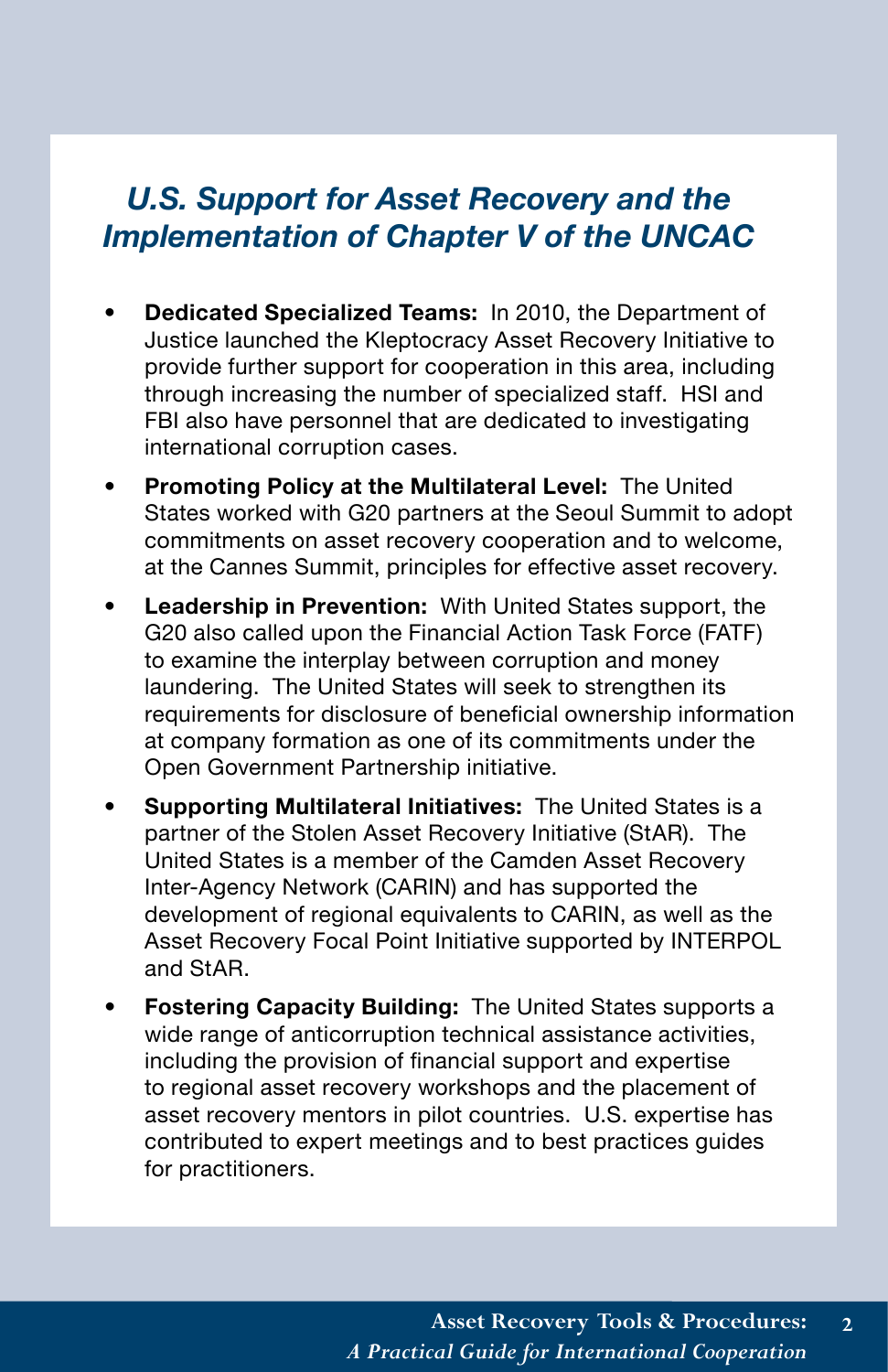# *Implementation of Chapter V of the UNCAC*

- **Dedicated Specialized Teams:** In 2010, the Department of Justice launched the Kleptocracy Asset Recovery Initiative to provide further support for cooperation in this area, including through increasing the number of specialized staff. HSI and FBI also have personnel that are dedicated to investigating international corruption cases.
- **Promoting Policy at the Multilateral Level:** The United States worked with G20 partners at the Seoul Summit to adopt commitments on asset recovery cooperation and to welcome, at the Cannes Summit, principles for effective asset recovery.
- **U.S. Support for Asset Recovery and the**<br> **Deplementation of Chapter V of the UNCAC**<br> **Dedicated Specialized Teams:** In 2010, the Department of<br>
Justice launched the Kelptocrazy Asset Recovery Initiative to<br>
provide furth • **Leadership in Prevention:** With United States support, the G20 also called upon the Financial Action Task Force (FATF) to examine the interplay between corruption and money laundering. The United States will seek to strengthen its requirements for disclosure of beneficial ownership information at company formation as one of its commitments under the Open Government Partnership initiative.
- **Supporting Multilateral Initiatives:** The United States is a partner of the Stolen Asset Recovery Initiative (StAR). The United States is a member of the Camden Asset Recovery Inter-Agency Network (CARIN) and has supported the development of regional equivalents to CARIN, as well as the Asset Recovery Focal Point Initiative supported by INTERPOL and StAR.
- **Fostering Capacity Building:** The United States supports a wide range of anticorruption technical assistance activities, including the provision of financial support and expertise to regional asset recovery workshops and the placement of asset recovery mentors in pilot countries. U.S. expertise has contributed to expert meetings and to best practices guides for practitioners.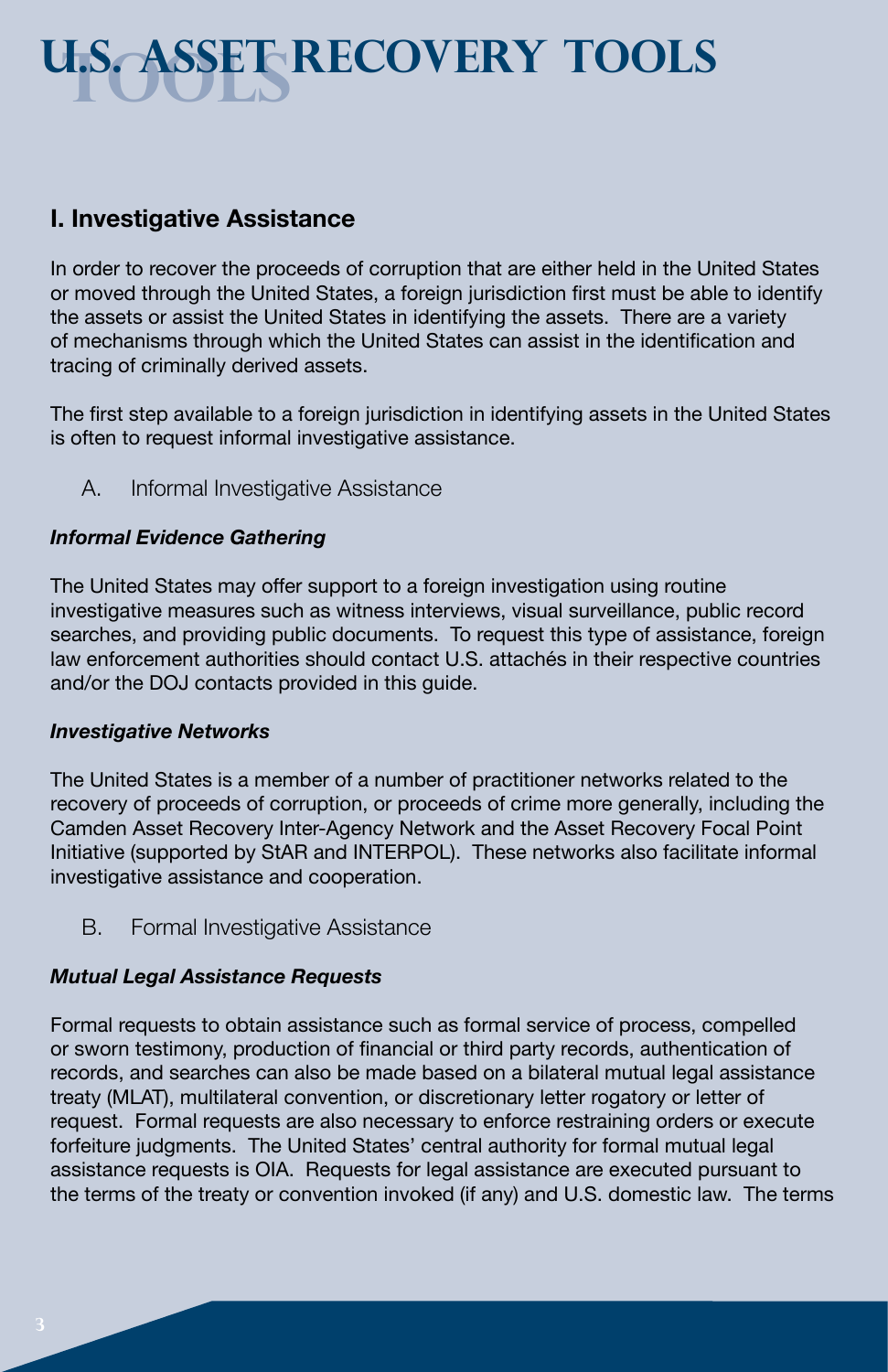# **TOOLS U.S. Asset Recovery TOOLS**

### **I. Investigative Assistance**

In order to recover the proceeds of corruption that are either held in the United States or moved through the United States, a foreign jurisdiction first must be able to identify the assets or assist the United States in identifying the assets. There are a variety of mechanisms through which the United States can assist in the identification and tracing of criminally derived assets.

The first step available to a foreign jurisdiction in identifying assets in the United States is often to request informal investigative assistance.

A. Informal Investigative Assistance

### *Informal Evidence Gathering*

The United States may offer support to a foreign investigation using routine investigative measures such as witness interviews, visual surveillance, public record searches, and providing public documents. To request this type of assistance, foreign law enforcement authorities should contact U.S. attachés in their respective countries and/or the DOJ contacts provided in this guide.

#### *Investigative Networks*

The United States is a member of a number of practitioner networks related to the recovery of proceeds of corruption, or proceeds of crime more generally, including the Camden Asset Recovery Inter-Agency Network and the Asset Recovery Focal Point Initiative (supported by StAR and INTERPOL). These networks also facilitate informal investigative assistance and cooperation.

B. Formal Investigative Assistance

### *Mutual Legal Assistance Requests*

Formal requests to obtain assistance such as formal service of process, compelled or sworn testimony, production of financial or third party records, authentication of records, and searches can also be made based on a bilateral mutual legal assistance treaty (MLAT), multilateral convention, or discretionary letter rogatory or letter of request. Formal requests are also necessary to enforce restraining orders or execute forfeiture judgments. The United States' central authority for formal mutual legal assistance requests is OIA. Requests for legal assistance are executed pursuant to the terms of the treaty or convention invoked (if any) and U.S. domestic law. The terms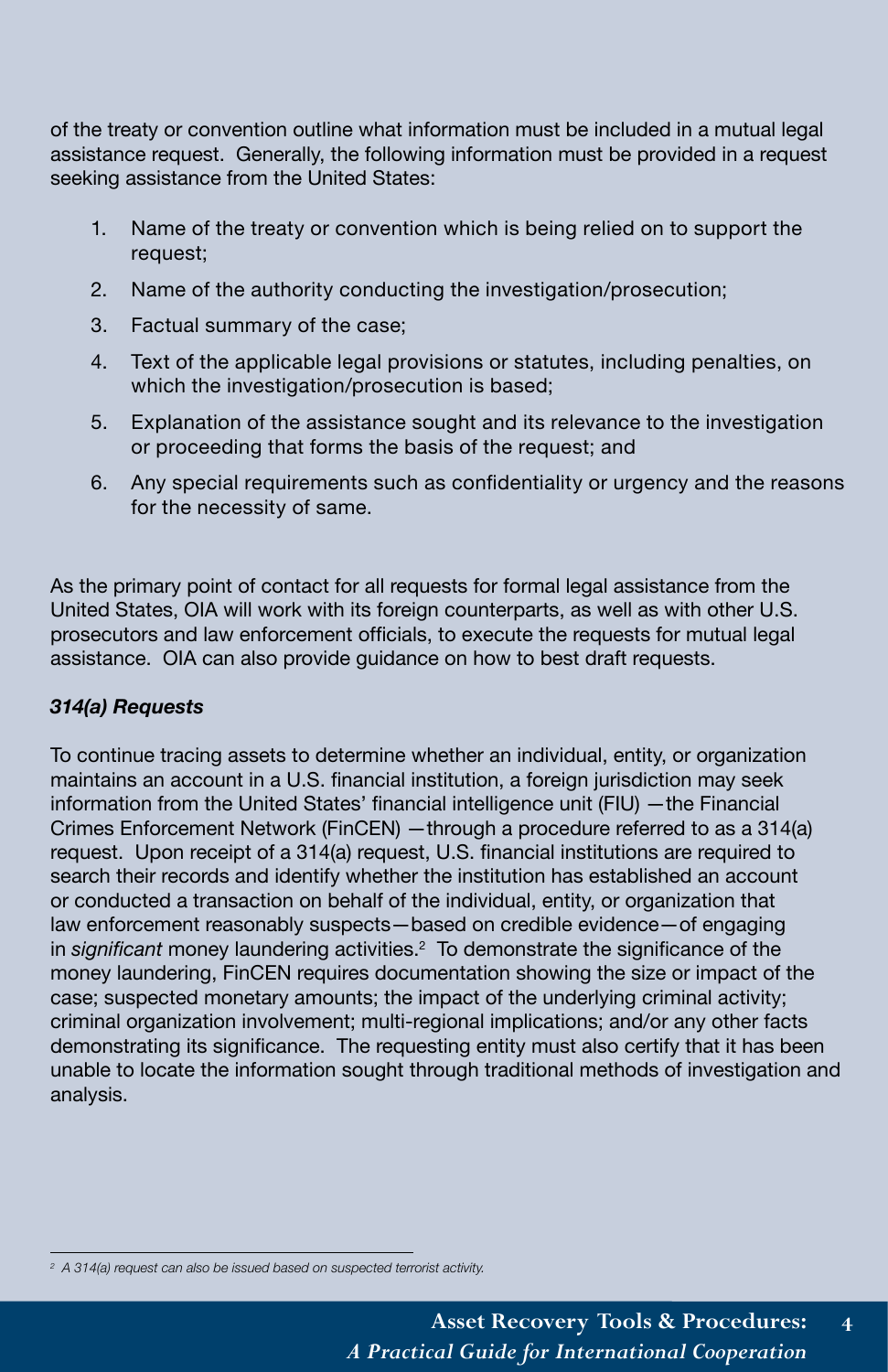of the treaty or convention outline what information must be included in a mutual legal assistance request. Generally, the following information must be provided in a request seeking assistance from the United States:

- 1. Name of the treaty or convention which is being relied on to support the request;
- 2. Name of the authority conducting the investigation/prosecution;
- 3. Factual summary of the case;
- 4. Text of the applicable legal provisions or statutes, including penalties, on which the investigation/prosecution is based;
- 5. Explanation of the assistance sought and its relevance to the investigation or proceeding that forms the basis of the request; and
- 6. Any special requirements such as confidentiality or urgency and the reasons for the necessity of same.

As the primary point of contact for all requests for formal legal assistance from the United States, OIA will work with its foreign counterparts, as well as with other U.S. prosecutors and law enforcement officials, to execute the requests for mutual legal assistance. OIA can also provide guidance on how to best draft requests.

### *314(a) Requests*

To continue tracing assets to determine whether an individual, entity, or organization maintains an account in a U.S. financial institution, a foreign jurisdiction may seek information from the United States' financial intelligence unit (FIU) —the Financial Crimes Enforcement Network (FinCEN) —through a procedure referred to as a 314(a) request. Upon receipt of a 314(a) request, U.S. financial institutions are required to search their records and identify whether the institution has established an account or conducted a transaction on behalf of the individual, entity, or organization that law enforcement reasonably suspects—based on credible evidence—of engaging in *significant* money laundering activities.<sup>2</sup> To demonstrate the significance of the money laundering, FinCEN requires documentation showing the size or impact of the case; suspected monetary amounts; the impact of the underlying criminal activity; criminal organization involvement; multi-regional implications; and/or any other facts demonstrating its significance. The requesting entity must also certify that it has been unable to locate the information sought through traditional methods of investigation and analysis.

*<sup>2</sup> A 314(a) request can also be issued based on suspected terrorist activity.*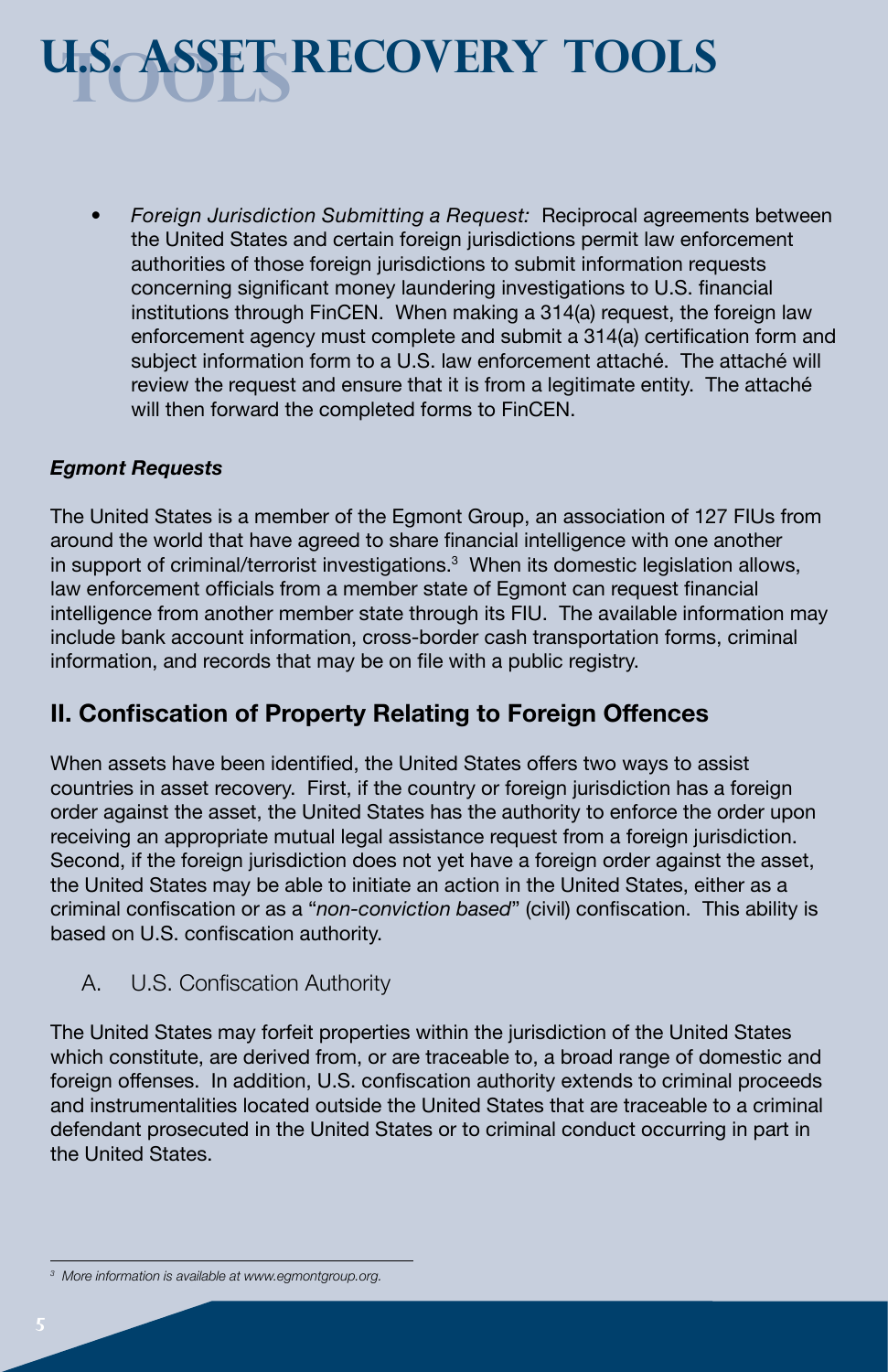# **tools U.S. Asset recovery tools**

• *Foreign Jurisdiction Submitting a Request:* Reciprocal agreements between the United States and certain foreign jurisdictions permit law enforcement authorities of those foreign jurisdictions to submit information requests concerning significant money laundering investigations to U.S. financial institutions through FinCEN. When making a 314(a) request, the foreign law enforcement agency must complete and submit a 314(a) certification form and subject information form to a U.S. law enforcement attaché. The attaché will review the request and ensure that it is from a legitimate entity. The attaché will then forward the completed forms to FinCEN.

### *Egmont Requests*

The United States is a member of the Egmont Group, an association of 127 FIUs from around the world that have agreed to share financial intelligence with one another in support of criminal/terrorist investigations.<sup>3</sup> When its domestic legislation allows, law enforcement officials from a member state of Egmont can request financial intelligence from another member state through its FIU. The available information may include bank account information, cross-border cash transportation forms, criminal information, and records that may be on file with a public registry.

### **II. Confiscation of Property Relating to Foreign Offences**

When assets have been identified, the United States offers two ways to assist countries in asset recovery. First, if the country or foreign jurisdiction has a foreign order against the asset, the United States has the authority to enforce the order upon receiving an appropriate mutual legal assistance request from a foreign jurisdiction. Second, if the foreign jurisdiction does not yet have a foreign order against the asset, the United States may be able to initiate an action in the United States, either as a criminal confiscation or as a "*non-conviction based*" (civil) confiscation. This ability is based on U.S. confiscation authority.

### A. U.S. Confiscation Authority

The United States may forfeit properties within the jurisdiction of the United States which constitute, are derived from, or are traceable to, a broad range of domestic and foreign offenses. In addition, U.S. confiscation authority extends to criminal proceeds and instrumentalities located outside the United States that are traceable to a criminal defendant prosecuted in the United States or to criminal conduct occurring in part in the United States.

*<sup>3</sup> More information is available at www.egmontgroup.org.*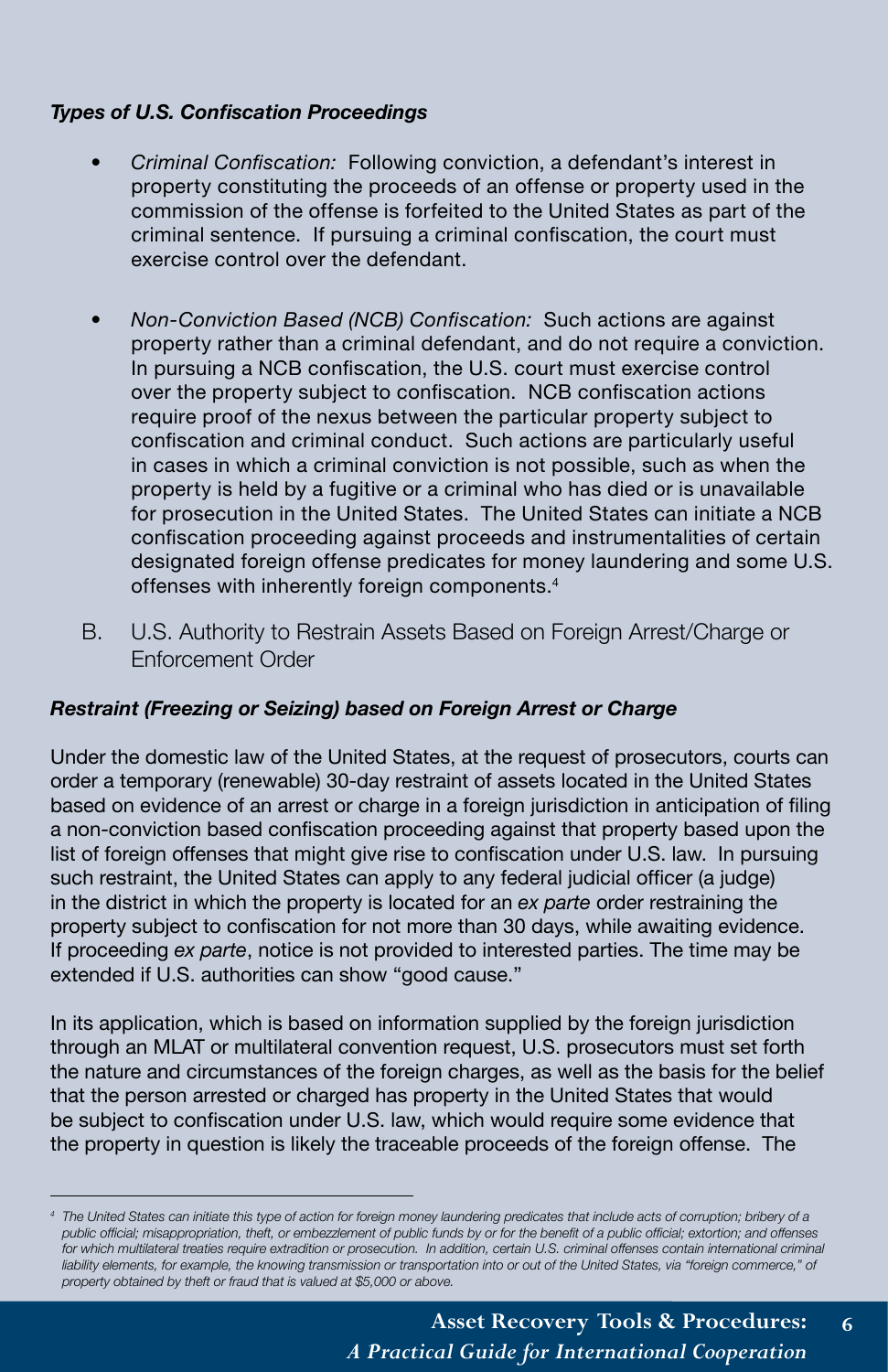### *Types of U.S. Confiscation Proceedings*

- *Criminal Confiscation:* Following conviction, a defendant's interest in property constituting the proceeds of an offense or property used in the commission of the offense is forfeited to the United States as part of the criminal sentence. If pursuing a criminal confiscation, the court must exercise control over the defendant.
- *Non-Conviction Based (NCB) Confiscation:* Such actions are against property rather than a criminal defendant, and do not require a conviction. In pursuing a NCB confiscation, the U.S. court must exercise control over the property subject to confiscation. NCB confiscation actions require proof of the nexus between the particular property subject to confiscation and criminal conduct. Such actions are particularly useful in cases in which a criminal conviction is not possible, such as when the property is held by a fugitive or a criminal who has died or is unavailable for prosecution in the United States. The United States can initiate a NCB confiscation proceeding against proceeds and instrumentalities of certain designated foreign offense predicates for money laundering and some U.S. offenses with inherently foreign components.4
- B. U.S. Authority to Restrain Assets Based on Foreign Arrest/Charge or Enforcement Order

#### *Restraint (Freezing or Seizing) based on Foreign Arrest or Charge*

Under the domestic law of the United States, at the request of prosecutors, courts can order a temporary (renewable) 30-day restraint of assets located in the United States based on evidence of an arrest or charge in a foreign jurisdiction in anticipation of filing a non-conviction based confiscation proceeding against that property based upon the list of foreign offenses that might give rise to confiscation under U.S. law. In pursuing such restraint, the United States can apply to any federal judicial officer (a judge) in the district in which the property is located for an *ex parte* order restraining the property subject to confiscation for not more than 30 days, while awaiting evidence. If proceeding *ex parte*, notice is not provided to interested parties. The time may be extended if U.S. authorities can show "good cause."

In its application, which is based on information supplied by the foreign jurisdiction through an MLAT or multilateral convention request, U.S. prosecutors must set forth the nature and circumstances of the foreign charges, as well as the basis for the belief that the person arrested or charged has property in the United States that would be subject to confiscation under U.S. law, which would require some evidence that the property in question is likely the traceable proceeds of the foreign offense. The

*<sup>4</sup> The United States can initiate this type of action for foreign money laundering predicates that include acts of corruption; bribery of a public official; misappropriation, theft, or embezzlement of public funds by or for the benefit of a public official; extortion; and offenses*  for which multilateral treaties require extradition or prosecution. In addition, certain U.S. criminal offenses contain international criminal liability elements, for example, the knowing transmission or transportation into or out of the United States, via "foreign commerce," of *property obtained by theft or fraud that is valued at \$5,000 or above.*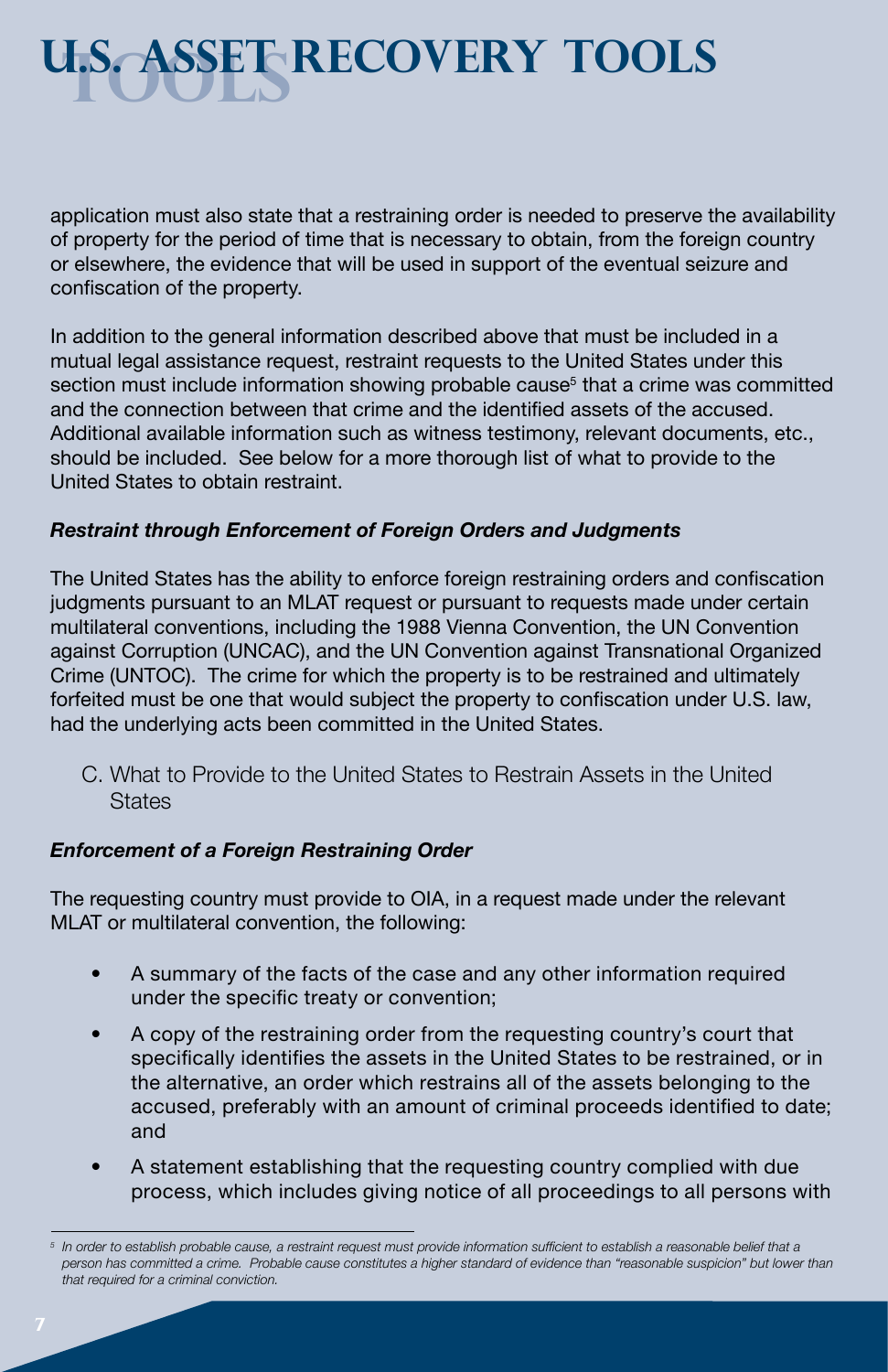# **tools U.S. Asset recovery tools**

application must also state that a restraining order is needed to preserve the availability of property for the period of time that is necessary to obtain, from the foreign country or elsewhere, the evidence that will be used in support of the eventual seizure and confiscation of the property.

In addition to the general information described above that must be included in a mutual legal assistance request, restraint requests to the United States under this section must include information showing probable cause<sup>5</sup> that a crime was committed and the connection between that crime and the identified assets of the accused. Additional available information such as witness testimony, relevant documents, etc., should be included. See below for a more thorough list of what to provide to the United States to obtain restraint.

#### *Restraint through Enforcement of Foreign Orders and Judgments*

The United States has the ability to enforce foreign restraining orders and confiscation judgments pursuant to an MLAT request or pursuant to requests made under certain multilateral conventions, including the 1988 Vienna Convention, the UN Convention against Corruption (UNCAC), and the UN Convention against Transnational Organized Crime (UNTOC). The crime for which the property is to be restrained and ultimately forfeited must be one that would subject the property to confiscation under U.S. law, had the underlying acts been committed in the United States.

C. What to Provide to the United States to Restrain Assets in the United **States** 

### *Enforcement of a Foreign Restraining Order*

The requesting country must provide to OIA, in a request made under the relevant MLAT or multilateral convention, the following:

- A summary of the facts of the case and any other information required under the specific treaty or convention;
- A copy of the restraining order from the requesting country's court that specifically identifies the assets in the United States to be restrained, or in the alternative, an order which restrains all of the assets belonging to the accused, preferably with an amount of criminal proceeds identified to date; and
- A statement establishing that the requesting country complied with due process, which includes giving notice of all proceedings to all persons with

*<sup>5</sup>* In order to establish probable cause, a restraint request must provide information sufficient to establish a reasonable belief that a person has committed a crime. Probable cause constitutes a higher standard of evidence than "reasonable suspicion" but lower than *that required for a criminal conviction.*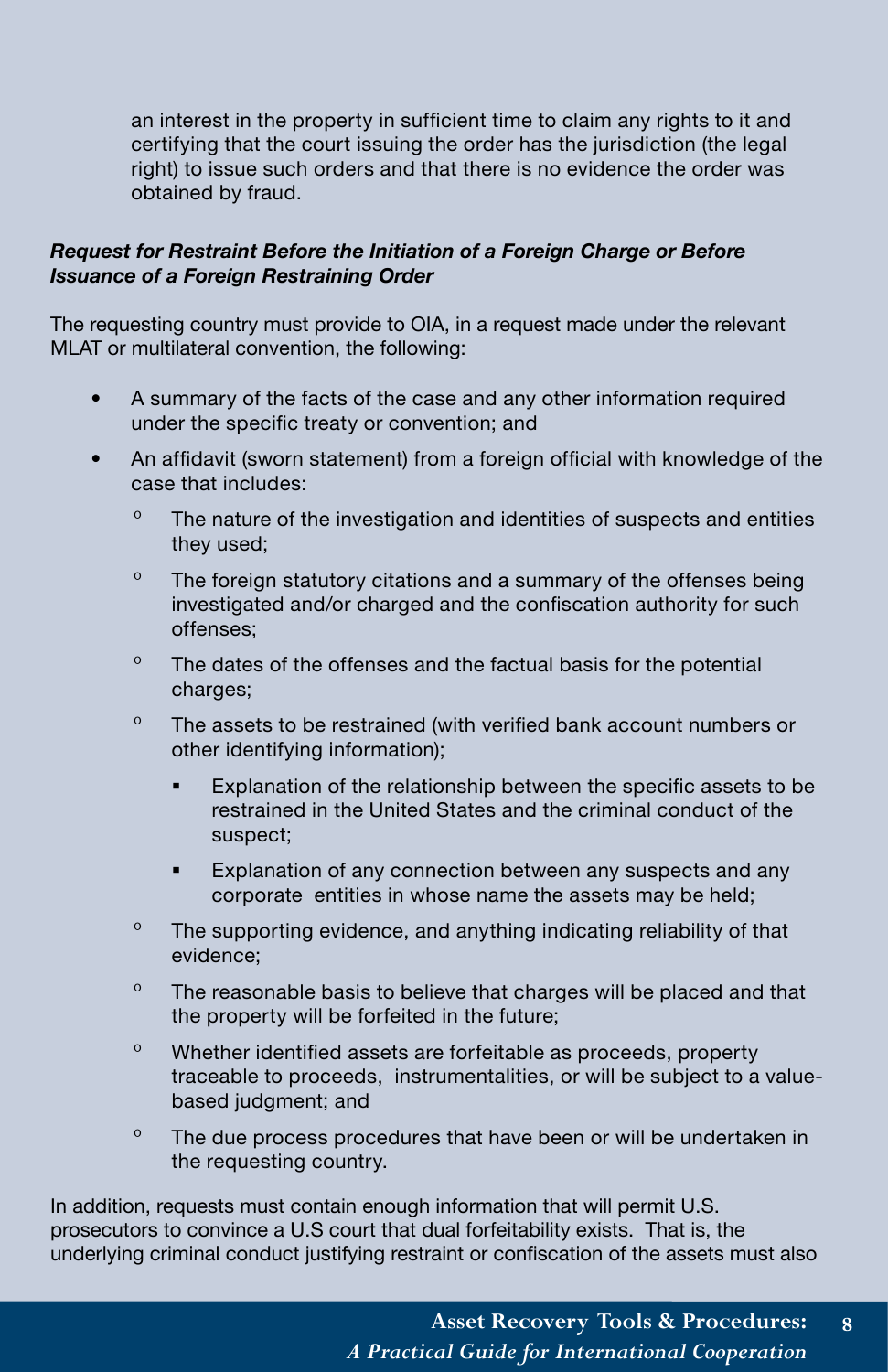an interest in the property in sufficient time to claim any rights to it and certifying that the court issuing the order has the jurisdiction (the legal right) to issue such orders and that there is no evidence the order was obtained by fraud.

#### *Request for Restraint Before the Initiation of a Foreign Charge or Before Issuance of a Foreign Restraining Order*

The requesting country must provide to OIA, in a request made under the relevant MLAT or multilateral convention, the following:

- A summary of the facts of the case and any other information required under the specific treaty or convention; and
- An affidavit (sworn statement) from a foreign official with knowledge of the case that includes:
	- º The nature of the investigation and identities of suspects and entities they used;
	- $\degree$  The foreign statutory citations and a summary of the offenses being investigated and/or charged and the confiscation authority for such offenses;
	- $\degree$  The dates of the offenses and the factual basis for the potential charges;
	- <sup>o</sup> The assets to be restrained (with verified bank account numbers or other identifying information);
		- Explanation of the relationship between the specific assets to be restrained in the United States and the criminal conduct of the suspect;
		- Explanation of any connection between any suspects and any corporate entities in whose name the assets may be held;
	- º The supporting evidence, and anything indicating reliability of that evidence;
	- <sup>o</sup> The reasonable basis to believe that charges will be placed and that the property will be forfeited in the future;
	- º Whether identified assets are forfeitable as proceeds, property traceable to proceeds, instrumentalities, or will be subject to a valuebased judgment; and
	- $\degree$  The due process procedures that have been or will be undertaken in the requesting country.

In addition, requests must contain enough information that will permit U.S. prosecutors to convince a U.S court that dual forfeitability exists. That is, the underlying criminal conduct justifying restraint or confiscation of the assets must also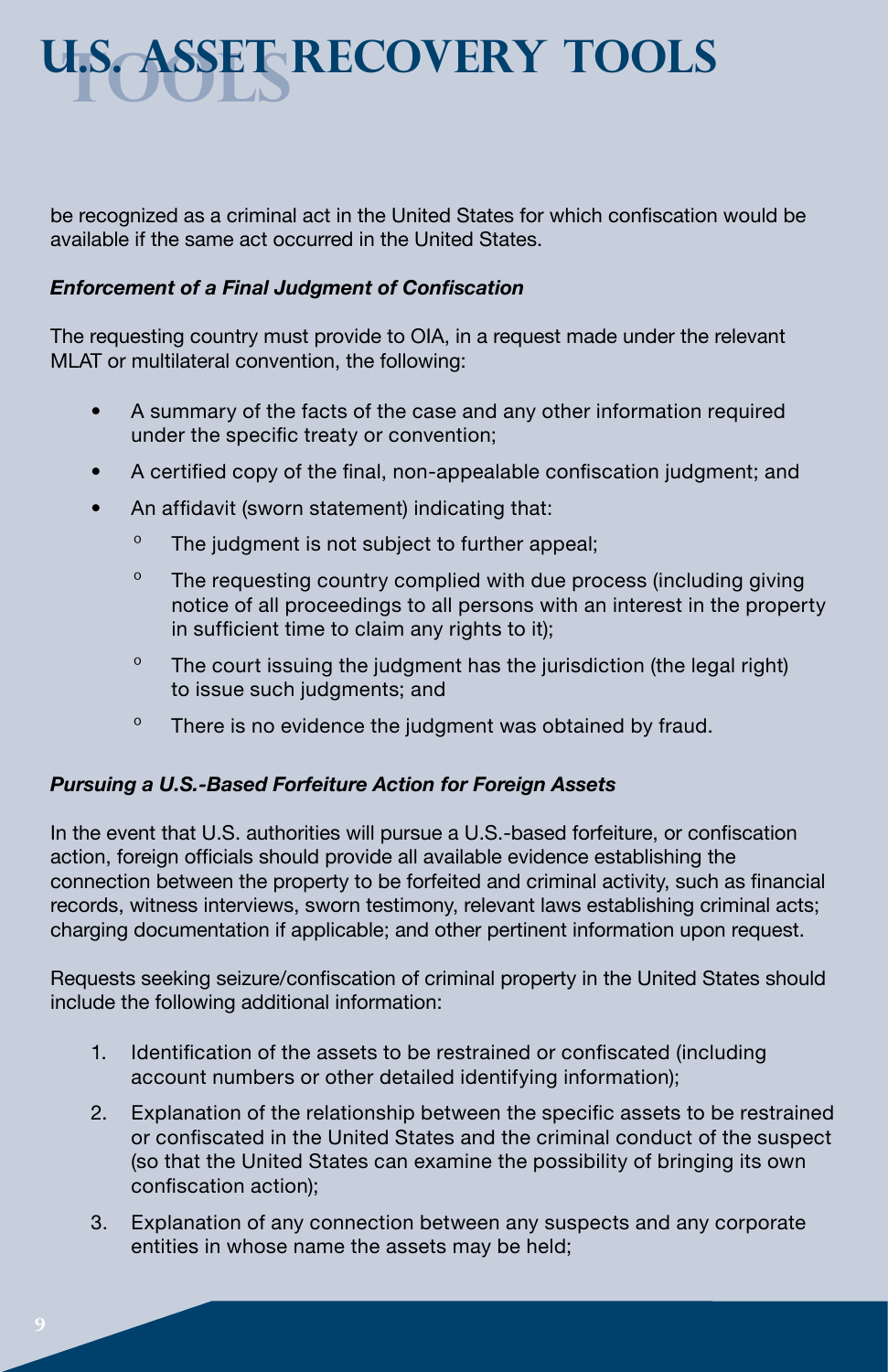# **tools u.s. asset recovery tools**

be recognized as a criminal act in the United States for which confiscation would be available if the same act occurred in the United States.

### *Enforcement of a Final Judgment of Confiscation*

The requesting country must provide to OIA, in a request made under the relevant MLAT or multilateral convention, the following:

- A summary of the facts of the case and any other information required under the specific treaty or convention;
- A certified copy of the final, non-appealable confiscation judgment; and
- An affidavit (sworn statement) indicating that:
	- º The judgment is not subject to further appeal;
	- <sup>o</sup> The requesting country complied with due process (including giving notice of all proceedings to all persons with an interest in the property in sufficient time to claim any rights to it);
	- $\degree$  The court issuing the judgment has the jurisdiction (the legal right) to issue such judgments; and
	- º There is no evidence the judgment was obtained by fraud.

### *Pursuing a U.S.-Based Forfeiture Action for Foreign Assets*

In the event that U.S. authorities will pursue a U.S.-based forfeiture, or confiscation action, foreign officials should provide all available evidence establishing the connection between the property to be forfeited and criminal activity, such as financial records, witness interviews, sworn testimony, relevant laws establishing criminal acts; charging documentation if applicable; and other pertinent information upon request.

Requests seeking seizure/confiscation of criminal property in the United States should include the following additional information:

- 1. Identification of the assets to be restrained or confiscated (including account numbers or other detailed identifying information);
- 2. Explanation of the relationship between the specific assets to be restrained or confiscated in the United States and the criminal conduct of the suspect (so that the United States can examine the possibility of bringing its own confiscation action);
- 3. Explanation of any connection between any suspects and any corporate entities in whose name the assets may be held;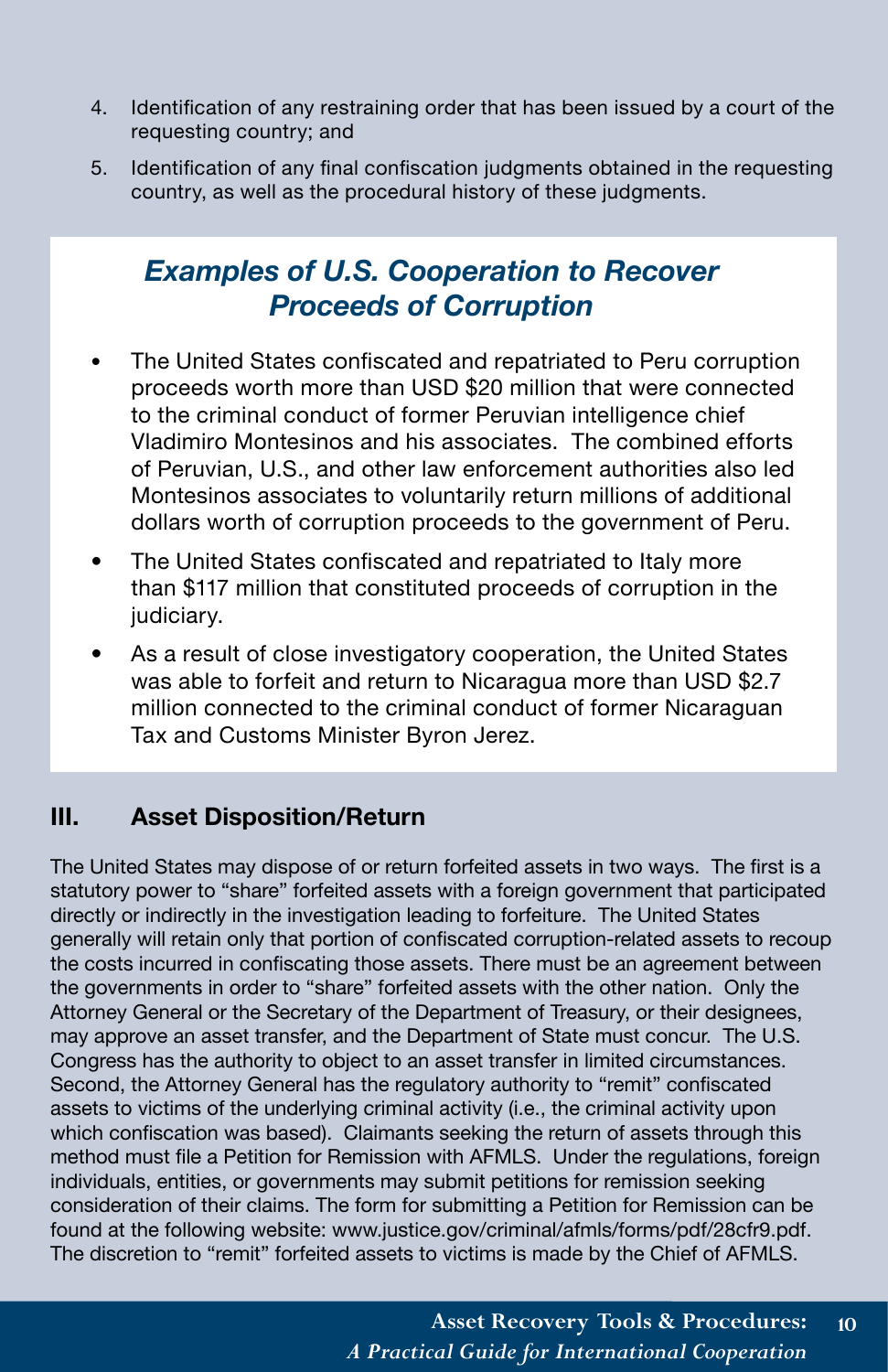- 4. Identification of any restraining order that has been issued by a court of the requesting country; and
- 5. Identification of any final confiscation judgments obtained in the requesting country, as well as the procedural history of these judgments.

### *Examples of U.S. Cooperation to Recover Proceeds of Corruption*

- The United States confiscated and repatriated to Peru corruption proceeds worth more than USD \$20 million that were connected to the criminal conduct of former Peruvian intelligence chief Vladimiro Montesinos and his associates. The combined efforts of Peruvian, U.S., and other law enforcement authorities also led Montesinos associates to voluntarily return millions of additional dollars worth of corruption proceeds to the government of Peru.
- The United States confiscated and repatriated to Italy more than \$117 million that constituted proceeds of corruption in the judiciary.
- As a result of close investigatory cooperation, the United States was able to forfeit and return to Nicaragua more than USD \$2.7 million connected to the criminal conduct of former Nicaraguan Tax and Customs Minister Byron Jerez.

### **III. Asset Disposition/Return**

The United States may dispose of or return forfeited assets in two ways. The first is a statutory power to "share" forfeited assets with a foreign government that participated directly or indirectly in the investigation leading to forfeiture. The United States generally will retain only that portion of confiscated corruption-related assets to recoup the costs incurred in confiscating those assets. There must be an agreement between the governments in order to "share" forfeited assets with the other nation. Only the Attorney General or the Secretary of the Department of Treasury, or their designees, may approve an asset transfer, and the Department of State must concur. The U.S. Congress has the authority to object to an asset transfer in limited circumstances. Second, the Attorney General has the regulatory authority to "remit" confiscated assets to victims of the underlying criminal activity (i.e., the criminal activity upon which confiscation was based). Claimants seeking the return of assets through this method must file a Petition for Remission with AFMLS. Under the regulations, foreign individuals, entities, or governments may submit petitions for remission seeking consideration of their claims. The form for submitting a Petition for Remission can be found at the following website: www.justice.gov/criminal/afmls/forms/pdf/28cfr9.pdf. The discretion to "remit" forfeited assets to victims is made by the Chief of AFMLS.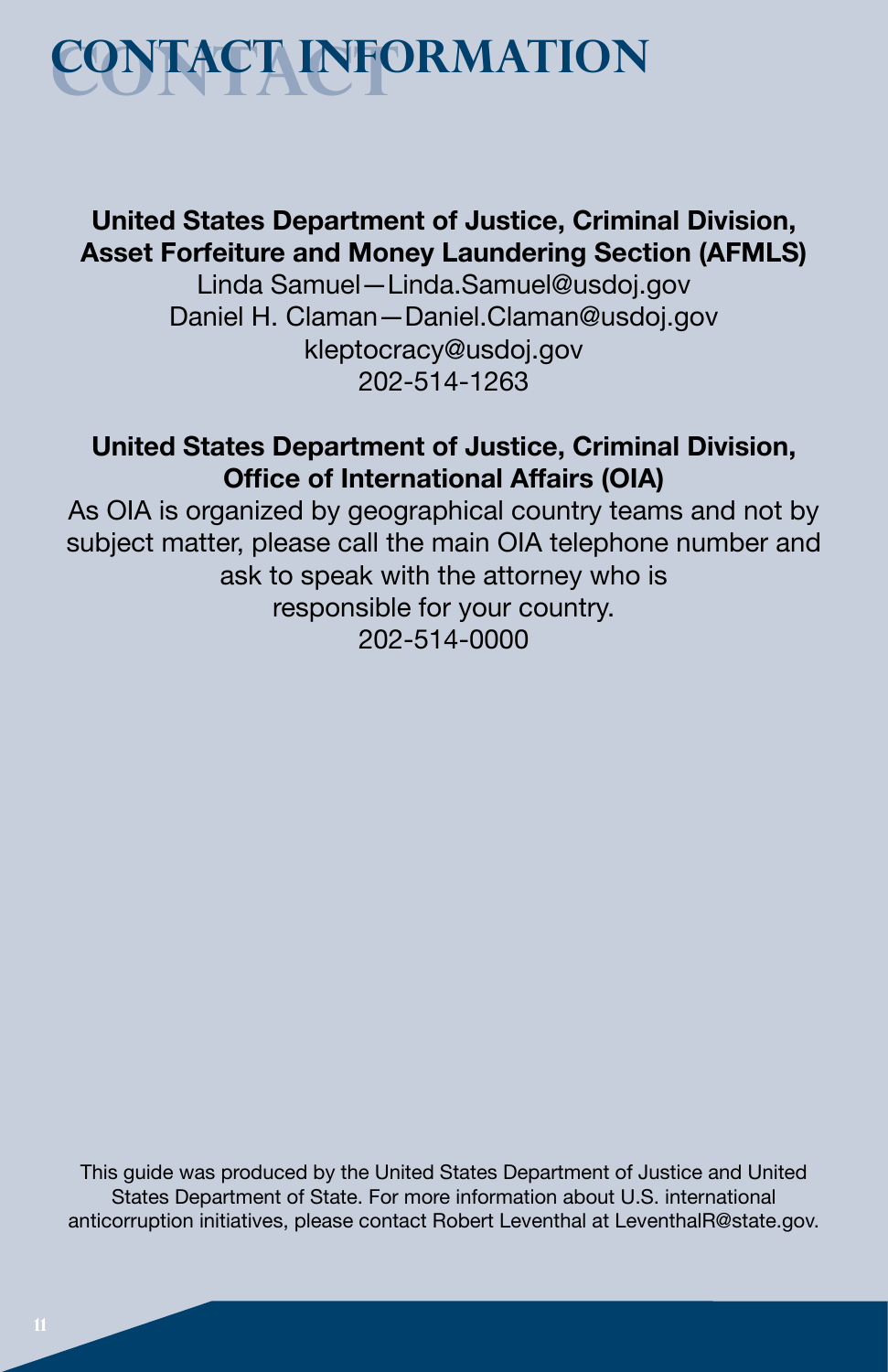## **Contact contact information**

### **United States Department of Justice, Criminal Division, Asset Forfeiture and Money Laundering Section (AFMLS)**

Linda Samuel—Linda.Samuel@usdoj.gov Daniel H. Claman—Daniel.Claman@usdoj.gov kleptocracy@usdoj.gov 202-514-1263

### **United States Department of Justice, Criminal Division, Office of International Affairs (OIA)**

As OIA is organized by geographical country teams and not by subject matter, please call the main OIA telephone number and ask to speak with the attorney who is responsible for your country. 202-514-0000

This guide was produced by the United States Department of Justice and United States Department of State. For more information about U.S. international anticorruption initiatives, please contact Robert Leventhal at LeventhalR@state.gov.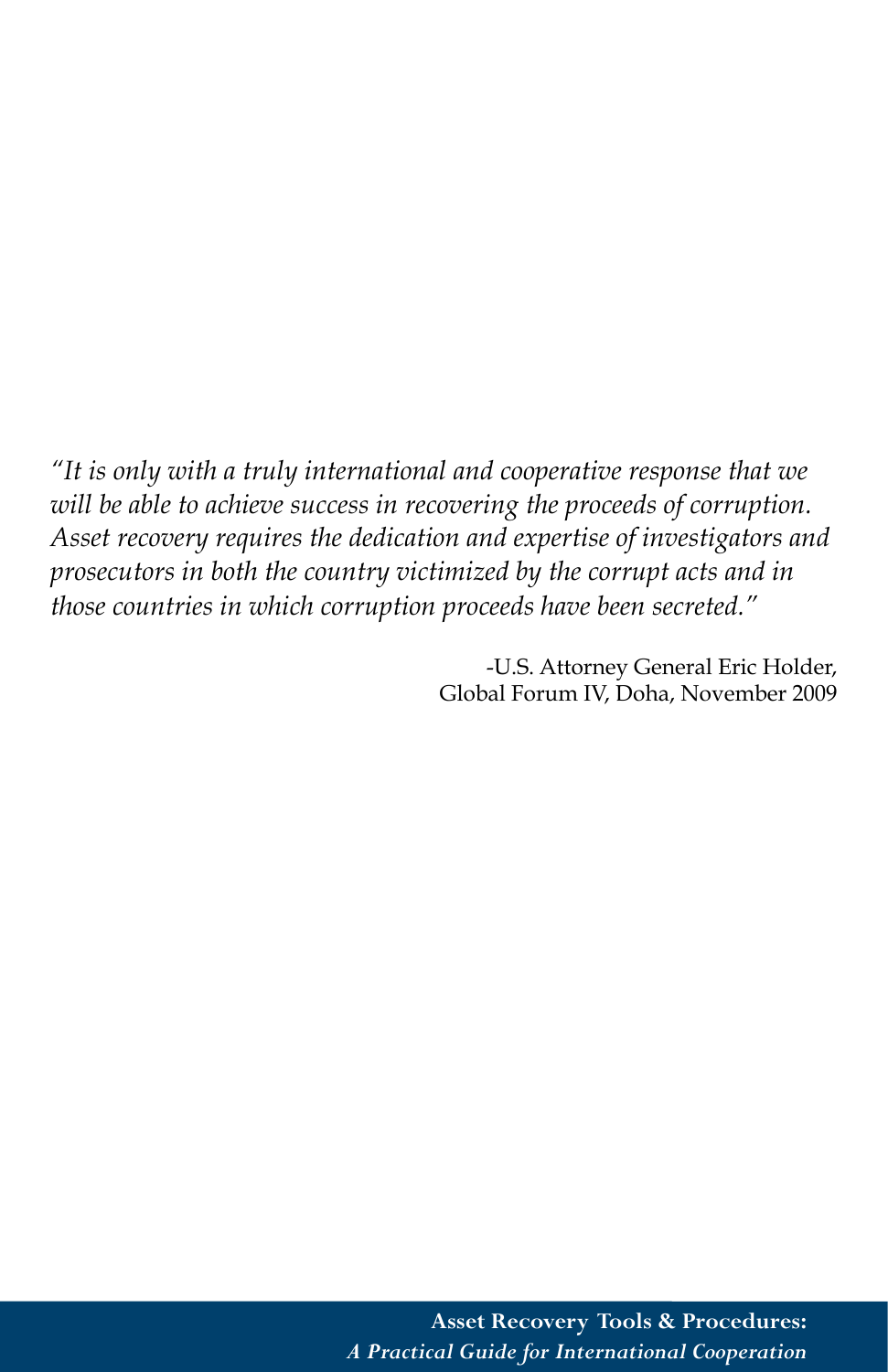*"It is only with a truly international and cooperative response that we will be able to achieve success in recovering the proceeds of corruption. Asset recovery requires the dedication and expertise of investigators and prosecutors in both the country victimized by the corrupt acts and in those countries in which corruption proceeds have been secreted."*

> -U.S. Attorney General Eric Holder, Global Forum IV, Doha, November 2009